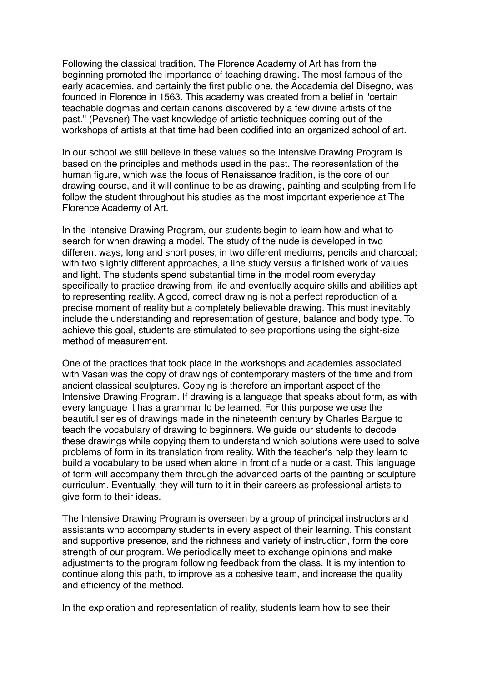Following the classical tradition, The Florence Academy of Art has from the beginning promoted the importance of teaching drawing. The most famous of the early academies, and certainly the first public one, the Accademia del Disegno, was founded in Florence in 1563. This academy was created from a belief in "certain teachable dogmas and certain canons discovered by a few divine artists of the past." (Pevsner) The vast knowledge of artistic techniques coming out of the workshops of artists at that time had been codified into an organized school of art.

In our school we still believe in these values so the Intensive Drawing Program is based on the principles and methods used in the past. The representation of the human figure, which was the focus of Renaissance tradition, is the core of our drawing course, and it will continue to be as drawing, painting and sculpting from life follow the student throughout his studies as the most important experience at The Florence Academy of Art.

In the Intensive Drawing Program, our students begin to learn how and what to search for when drawing a model. The study of the nude is developed in two different ways, long and short poses; in two different mediums, pencils and charcoal; with two slightly different approaches, a line study versus a finished work of values and light. The students spend substantial time in the model room everyday specifically to practice drawing from life and eventually acquire skills and abilities apt to representing reality. A good, correct drawing is not a perfect reproduction of a precise moment of reality but a completely believable drawing. This must inevitably include the understanding and representation of gesture, balance and body type. To achieve this goal, students are stimulated to see proportions using the sight-size method of measurement.

One of the practices that took place in the workshops and academies associated with Vasari was the copy of drawings of contemporary masters of the time and from ancient classical sculptures. Copying is therefore an important aspect of the Intensive Drawing Program. If drawing is a language that speaks about form, as with every language it has a grammar to be learned. For this purpose we use the beautiful series of drawings made in the nineteenth century by Charles Bargue to teach the vocabulary of drawing to beginners. We guide our students to decode these drawings while copying them to understand which solutions were used to solve problems of form in its translation from reality. With the teacher's help they learn to build a vocabulary to be used when alone in front of a nude or a cast. This language of form will accompany them through the advanced parts of the painting or sculpture curriculum. Eventually, they will turn to it in their careers as professional artists to give form to their ideas.

The Intensive Drawing Program is overseen by a group of principal instructors and assistants who accompany students in every aspect of their learning. This constant and supportive presence, and the richness and variety of instruction, form the core strength of our program. We periodically meet to exchange opinions and make adjustments to the program following feedback from the class. It is my intention to continue along this path, to improve as a cohesive team, and increase the quality and efficiency of the method.

In the exploration and representation of reality, students learn how to see their